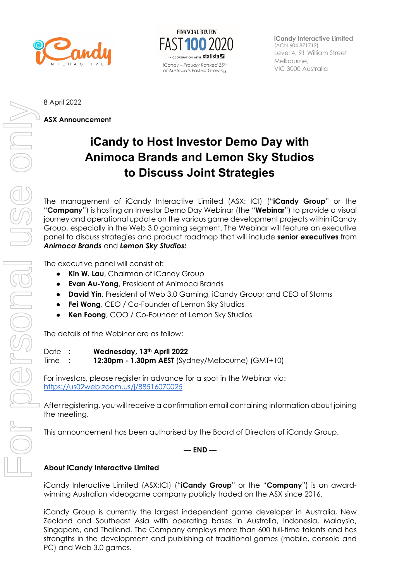



**iCandy Interactive Limited** (ACN 604 871712) Level 4, 91 William Street Melbourne,

8 April 2022

**ASX Announcement** 

## **iCandy to Host Investor Demo Day with Animoca Brands and Lemon Sky Studios to Discuss Joint Strategies**

The management of iCandy Interactive Limited (ASX: ICI) ("**iCandy Group**" or the "**Company**") is hosting an Investor Demo Day Webinar (the "**Webinar**") to provide a visual journey and operational update on the various game development projects within iCandy Group, especially in the Web 3.0 gaming segment. The Webinar will feature an executive panel to discuss strategies and product roadmap that will include **senior executives** from *Animoca Brands* and *Lemon Sky Studios:* 

The executive panel will consist of:

- **Kin W. Lau**, Chairman of iCandy Group
- **Evan Au-Yong**, President of Animoca Brands
- **David Yin**, President of Web 3.0 Gaming, iCandy Group; and CEO of Storms
- **Fei Wong**, CEO / Co-Founder of Lemon Sky Studios
- **Ken Foong**, COO / Co-Founder of Lemon Sky Studios

The details of the Webinar are as follow:

Date : **Wednesday, 13th April 2022**

Time : **12:30pm - 1.30pm AEST** (Sydney/Melbourne) (GMT+10)

For investors, please register in advance for a spot in the Webinar via: https://us02web.zoom.us/j/88516070025

After registering, you will receive a confirmation email containing information about joining the meeting.

This announcement has been authorised by the Board of Directors of iCandy Group.

**— END —** 

## **About iCandy Interactive Limited**

iCandy Interactive Limited (ASX:ICI) ("**iCandy Group**" or the "**Company**") is an awardwinning Australian videogame company publicly traded on the ASX since 2016.

iCandy Group is currently the largest independent game developer in Australia, New Zealand and Southeast Asia with operating bases in Australia, Indonesia, Malaysia, Singapore, and Thailand. The Company employs more than 600 full-time talents and has strengths in the development and publishing of traditional games (mobile, console and PC) and Web 3.0 games.